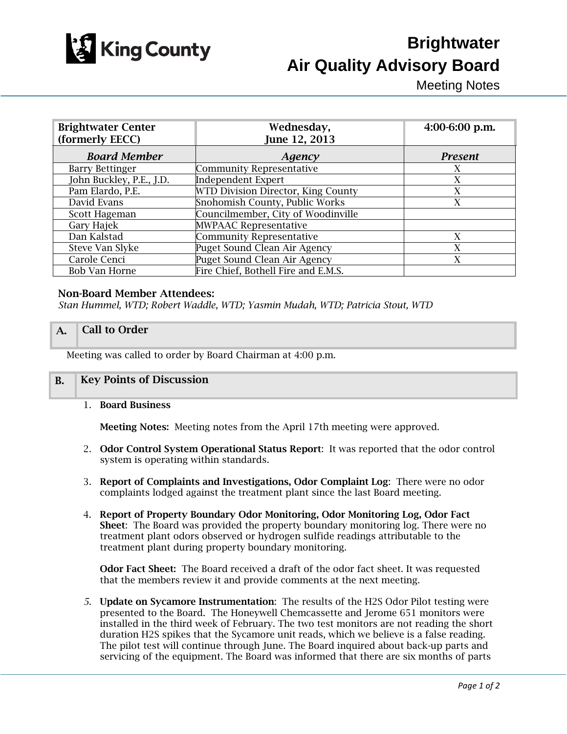

# **Brightwater Air Quality Advisory Board**

Meeting Notes

| <b>Brightwater Center</b><br>(formerly EECC) | Wednesday,<br>June 12, 2013         | $4:00-6:00$ p.m. |
|----------------------------------------------|-------------------------------------|------------------|
| <b>Board Member</b>                          | Agency                              | <b>Present</b>   |
| <b>Barry Bettinger</b>                       | <b>Community Representative</b>     | X                |
| John Buckley, P.E., J.D.                     | <b>Independent Expert</b>           | X                |
| Pam Elardo, P.E.                             | WTD Division Director, King County  | X                |
| David Evans                                  | Snohomish County, Public Works      | X                |
| Scott Hageman                                | Councilmember, City of Woodinville  |                  |
| Gary Hajek                                   | <b>MWPAAC Representative</b>        |                  |
| Dan Kalstad                                  | Community Representative            | X                |
| Steve Van Slyke                              | Puget Sound Clean Air Agency        | X                |
| Carole Cenci                                 | Puget Sound Clean Air Agency        | X                |
| <b>Bob Van Horne</b>                         | Fire Chief, Bothell Fire and E.M.S. |                  |

#### Non-Board Member Attendees:

*Stan Hummel, WTD; Robert Waddle, WTD; Yasmin Mudah, WTD; Patricia Stout, WTD*

## A. **Call to Order**

Meeting was called to order by Board Chairman at 4:00 p.m.

## B. Key Points of Discussion

1. Board Business

Meeting Notes: Meeting notes from the April 17th meeting were approved.

- 2. Odor Control System Operational Status Report: It was reported that the odor control system is operating within standards.
- 3. Report of Complaints and Investigations, Odor Complaint Log: There were no odor complaints lodged against the treatment plant since the last Board meeting.
- 4. Report of Property Boundary Odor Monitoring, Odor Monitoring Log, Odor Fact Sheet: The Board was provided the property boundary monitoring log. There were no treatment plant odors observed or hydrogen sulfide readings attributable to the treatment plant during property boundary monitoring.

Odor Fact Sheet: The Board received a draft of the odor fact sheet. It was requested that the members review it and provide comments at the next meeting.

*5.* Update on Sycamore Instrumentation: The results of the H2S Odor Pilot testing were presented to the Board. The Honeywell Chemcassette and Jerome 651 monitors were installed in the third week of February. The two test monitors are not reading the short duration H2S spikes that the Sycamore unit reads, which we believe is a false reading. The pilot test will continue through June. The Board inquired about back-up parts and servicing of the equipment. The Board was informed that there are six months of parts